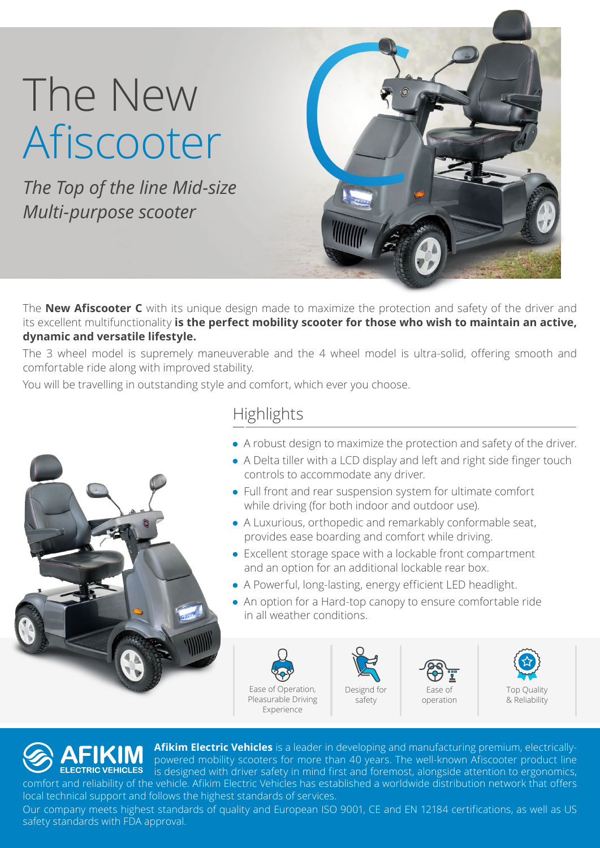## The New Afiscooter

The Top of the line Mid-size *Multi-purpose scooter* 



The **New Afiscooter C** with its unique design made to maximize the protection and safety of the driver and its excellent multifunctionality is the perfect mobility scooter for those who wish to maintain an active, dynamic and versatile lifestyle.

The 3 wheel model is supremely maneuverable and the 4 wheel model is ultra-solid, offering smooth and comfortable ride along with improved stability.

You will be travelling in outstanding style and comfort, which ever you choose.



## **Highlights**

- $\bullet$  A robust design to maximize the protection and safety of the driver.
- $\bullet$  A Delta tiller with a LCD display and left and right side finger touch controls to accommodate any driver.
- $\bullet$  Full front and rear suspension system for ultimate comfort while driving (for both indoor and outdoor use).
- $\bullet$  A Luxurious, orthopedic and remarkably conformable seat, provides ease boarding and comfort while driving.
- $\bullet$  Excellent storage space with a lockable front compartment and an option for an additional lockable rear box.
- A Powerful, long-lasting, energy efficient LED headlight.
- An option for a Hard-top canopy to ensure comfortable ride in all weather conditions.









Afikim Electric Vehicles is a leader in developing and manufacturing premium, electricallypowered mobility scooters for more than 40 years. The well-known Afiscooter product line **ELECTRIC VEHICLES** is designed with driver safety in mind first and foremost, alongside attention to ergonomics, comfort and reliability of the vehicle. Afikim Electric Vehicles has established a worldwide distribution network that offers local technical support and follows the highest standards of services.

Our company meets highest standards of quality and European ISO 9001, CE and EN 12184 certifications, as well as US safety standards with FDA approval.